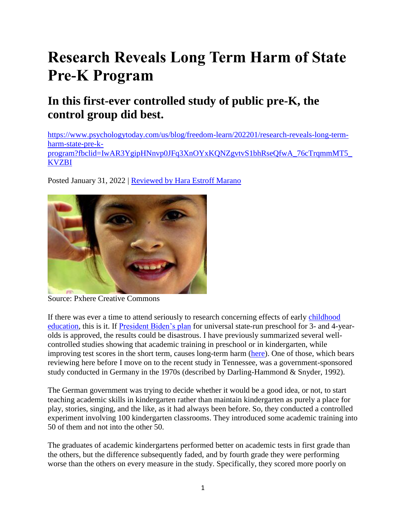# **Research Reveals Long Term Harm of State Pre-K Program**

# **In this first-ever controlled study of public pre-K, the control group did best.**

[https://www.psychologytoday.com/us/blog/freedom-learn/202201/research-reveals-long-term](https://www.psychologytoday.com/us/blog/freedom-learn/202201/research-reveals-long-term-harm-state-pre-k-program?fbclid=IwAR3YgipHNnvp0JFq3XnOYxKQNZgvtvS1bhRseQfwA_76cTrqmmMT5_KVZBI)[harm-state-pre-k](https://www.psychologytoday.com/us/blog/freedom-learn/202201/research-reveals-long-term-harm-state-pre-k-program?fbclid=IwAR3YgipHNnvp0JFq3XnOYxKQNZgvtvS1bhRseQfwA_76cTrqmmMT5_KVZBI)[program?fbclid=IwAR3YgipHNnvp0JFq3XnOYxKQNZgvtvS1bhRseQfwA\\_76cTrqmmMT5\\_](https://www.psychologytoday.com/us/blog/freedom-learn/202201/research-reveals-long-term-harm-state-pre-k-program?fbclid=IwAR3YgipHNnvp0JFq3XnOYxKQNZgvtvS1bhRseQfwA_76cTrqmmMT5_KVZBI) [KVZBI](https://www.psychologytoday.com/us/blog/freedom-learn/202201/research-reveals-long-term-harm-state-pre-k-program?fbclid=IwAR3YgipHNnvp0JFq3XnOYxKQNZgvtvS1bhRseQfwA_76cTrqmmMT5_KVZBI)

Posted January 31, 2022 | Reviewed by Hara Estroff Marano



Source: Pxhere Creative Commons

If there was ever a time to attend seriously to research concerning effects of early [childhood](https://www.psychologytoday.com/us/basics/child-development) [education,](https://www.psychologytoday.com/us/basics/education) this is it. If [President Biden's plan](https://www.psychologytoday.com/us/blog/freedom-learn/202105/the-case-against-universal-preschool) for universal state-run preschool for 3- and 4-yearolds is approved, the results could be disastrous. I have previously summarized several wellcontrolled studies showing that academic training in preschool or in kindergarten, while improving test scores in the short term, causes long-term harm [\(here\)](https://www.psychologytoday.com/us/blog/freedom-learn/201505/early-academic-training-produces-long-term-harm). One of those, which bears reviewing here before I move on to the recent study in Tennessee, was a government-sponsored study conducted in Germany in the 1970s (described by Darling-Hammond & Snyder, 1992).

The German government was trying to decide whether it would be a good idea, or not, to start teaching academic skills in kindergarten rather than maintain kindergarten as purely a place for play, stories, singing, and the like, as it had always been before. So, they conducted a controlled experiment involving 100 kindergarten classrooms. They introduced some academic training into 50 of them and not into the other 50.

The graduates of academic kindergartens performed better on academic tests in first grade than the others, but the difference subsequently faded, and by fourth grade they were performing worse than the others on every measure in the study. Specifically, they scored more poorly on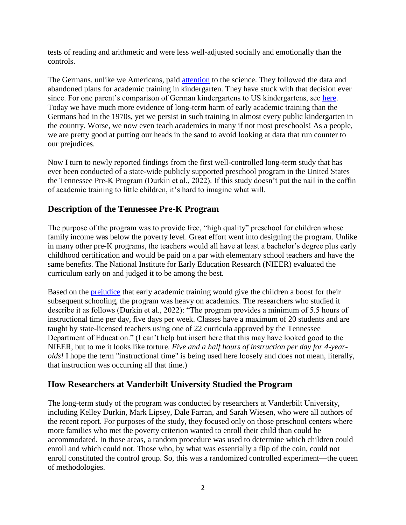tests of reading and arithmetic and were less well-adjusted socially and emotionally than the controls.

The Germans, unlike we Americans, paid [attention](https://www.psychologytoday.com/us/basics/attention) to the science. They followed the data and abandoned plans for academic training in kindergarten. They have stuck with that decision ever since. For one parent's comparison of German kindergartens to US kindergartens, see [here.](https://www.parentmap.com/article/kindergarten-america-germany) Today we have much more evidence of long-term harm of early academic training than the Germans had in the 1970s, yet we persist in such training in almost every public kindergarten in the country. Worse, we now even teach academics in many if not most preschools! As a people, we are pretty good at putting our heads in the sand to avoid looking at data that run counter to our prejudices.

Now I turn to newly reported findings from the first well-controlled long-term study that has ever been conducted of a state-wide publicly supported preschool program in the United States the Tennessee Pre-K Program (Durkin et al., 2022). If this study doesn't put the nail in the coffin of academic training to little children, it's hard to imagine what will.

### **Description of the Tennessee Pre-K Program**

The purpose of the program was to provide free, "high quality" preschool for children whose family income was below the poverty level. Great effort went into designing the program. Unlike in many other pre-K programs, the teachers would all have at least a bachelor's degree plus early childhood certification and would be paid on a par with elementary school teachers and have the same benefits. The National Institute for Early Education Research (NIEER) evaluated the curriculum early on and judged it to be among the best.

Based on the [prejudice](https://www.psychologytoday.com/us/basics/bias) that early academic training would give the children a boost for their subsequent schooling, the program was heavy on academics. The researchers who studied it describe it as follows (Durkin et al., 2022): "The program provides a minimum of 5.5 hours of instructional time per day, five days per week. Classes have a maximum of 20 students and are taught by state-licensed teachers using one of 22 curricula approved by the Tennessee Department of Education." (I can't help but insert here that this may have looked good to the NIEER, but to me it looks like torture. *Five and a half hours of instruction per day for 4-yearolds!* I hope the term "instructional time" is being used here loosely and does not mean, literally, that instruction was occurring all that time.)

## **How Researchers at Vanderbilt University Studied the Program**

The long-term study of the program was conducted by researchers at Vanderbilt University, including Kelley Durkin, Mark Lipsey, Dale Farran, and Sarah Wiesen, who were all authors of the recent report. For purposes of the study, they focused only on those preschool centers where more families who met the poverty criterion wanted to enroll their child than could be accommodated. In those areas, a random procedure was used to determine which children could enroll and which could not. Those who, by what was essentially a flip of the coin, could not enroll constituted the control group. So, this was a randomized controlled experiment—the queen of methodologies.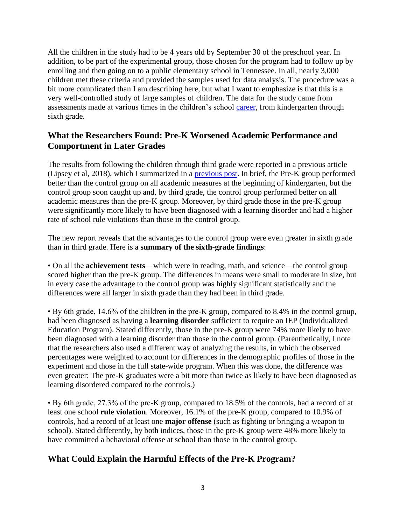All the children in the study had to be 4 years old by September 30 of the preschool year. In addition, to be part of the experimental group, those chosen for the program had to follow up by enrolling and then going on to a public elementary school in Tennessee. In all, nearly 3,000 children met these criteria and provided the samples used for data analysis. The procedure was a bit more complicated than I am describing here, but what I want to emphasize is that this is a very well-controlled study of large samples of children. The data for the study came from assessments made at various times in the children's school [career,](https://www.psychologytoday.com/us/basics/career) from kindergarten through sixth grade.

### **What the Researchers Found: Pre-K Worsened Academic Performance and Comportment in Later Grades**

The results from following the children through third grade were reported in a previous article (Lipsey et al, 2018), which I summarized in a [previous post.](https://www.psychologytoday.com/us/blog/freedom-learn/202002/head-start-s-value-lies-in-care-not-academic-training) In brief, the Pre-K group performed better than the control group on all academic measures at the beginning of kindergarten, but the control group soon caught up and, by third grade, the control group performed better on all academic measures than the pre-K group. Moreover, by third grade those in the pre-K group were significantly more likely to have been diagnosed with a learning disorder and had a higher rate of school rule violations than those in the control group.

The new report reveals that the advantages to the control group were even greater in sixth grade than in third grade. Here is a **summary of the sixth-grade findings**:

• On all the **achievement tests**—which were in reading, math, and science—the control group scored higher than the pre-K group. The differences in means were small to moderate in size, but in every case the advantage to the control group was highly significant statistically and the differences were all larger in sixth grade than they had been in third grade.

• By 6th grade, 14.6% of the children in the pre-K group, compared to 8.4% in the control group, had been diagnosed as having a **learning disorder** sufficient to require an IEP (Individualized Education Program). Stated differently, those in the pre-K group were 74% more likely to have been diagnosed with a learning disorder than those in the control group. (Parenthetically, I note that the researchers also used a different way of analyzing the results, in which the observed percentages were weighted to account for differences in the demographic profiles of those in the experiment and those in the full state-wide program. When this was done, the difference was even greater: The pre-K graduates were a bit more than twice as likely to have been diagnosed as learning disordered compared to the controls.)

• By 6th grade, 27.3% of the pre-K group, compared to 18.5% of the controls, had a record of at least one school **rule violation**. Moreover, 16.1% of the pre-K group, compared to 10.9% of controls, had a record of at least one **major offense** (such as fighting or bringing a weapon to school). Stated differently, by both indices, those in the pre-K group were 48% more likely to have committed a behavioral offense at school than those in the control group.

## **What Could Explain the Harmful Effects of the Pre-K Program?**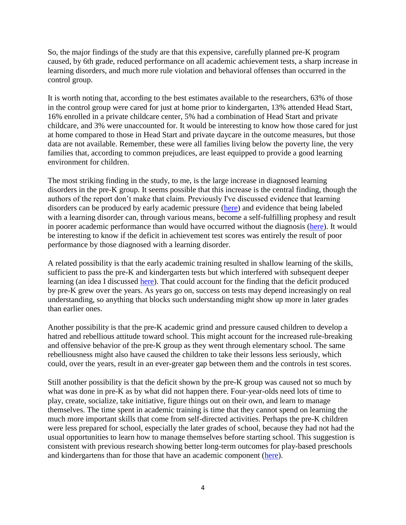So, the major findings of the study are that this expensive, carefully planned pre-K program caused, by 6th grade, reduced performance on all academic achievement tests, a sharp increase in learning disorders, and much more rule violation and behavioral offenses than occurred in the control group.

It is worth noting that, according to the best estimates available to the researchers, 63% of those in the control group were cared for just at home prior to kindergarten, 13% attended Head Start, 16% enrolled in a private childcare center, 5% had a combination of Head Start and private childcare, and 3% were unaccounted for. It would be interesting to know how those cared for just at home compared to those in Head Start and private daycare in the outcome measures, but those data are not available. Remember, these were all families living below the poverty line, the very families that, according to common prejudices, are least equipped to provide a good learning environment for children.

The most striking finding in the study, to me, is the large increase in diagnosed learning disorders in the pre-K group. It seems possible that this increase is the central finding, though the authors of the report don't make that claim. Previously I've discussed evidence that learning disorders can be produced by early academic pressure [\(here\)](https://www.psychologytoday.com/us/blog/freedom-learn/202103/forced-schooling-anxiety-and-learning-disorders) and evidence that being labeled with a learning disorder can, through various means, become a self-fulfilling prophesy and result in poorer academic performance than would have occurred without the diagnosis [\(here\)](https://www.psychologytoday.com/us/blog/freedom-learn/202103/specific-learning-disorder-the-case-against-labeling). It would be interesting to know if the deficit in achievement test scores was entirely the result of poor performance by those diagnosed with a learning disorder.

A related possibility is that the early academic training resulted in shallow learning of the skills, sufficient to pass the pre-K and kindergarten tests but which interfered with subsequent deeper learning (an idea I discussed [here\)](https://www.psychologytoday.com/us/blog/freedom-learn/201506/how-early-academic-training-retards-intellectual-development). That could account for the finding that the deficit produced by pre-K grew over the years. As years go on, success on tests may depend increasingly on real understanding, so anything that blocks such understanding might show up more in later grades than earlier ones.

Another possibility is that the pre-K academic grind and pressure caused children to develop a hatred and rebellious attitude toward school. This might account for the increased rule-breaking and offensive behavior of the pre-K group as they went through elementary school. The same rebelliousness might also have caused the children to take their lessons less seriously, which could, over the years, result in an ever-greater gap between them and the controls in test scores.

Still another possibility is that the deficit shown by the pre-K group was caused not so much by what was done in pre-K as by what did not happen there. Four-year-olds need lots of time to play, create, socialize, take initiative, figure things out on their own, and learn to manage themselves. The time spent in academic training is time that they cannot spend on learning the much more important skills that come from self-directed activities. Perhaps the pre-K children were less prepared for school, especially the later grades of school, because they had not had the usual opportunities to learn how to manage themselves before starting school. This suggestion is consistent with previous research showing better long-term outcomes for play-based preschools and kindergartens than for those that have an academic component [\(here\)](https://www.psychologytoday.com/us/blog/freedom-learn/201505/early-academic-training-produces-long-term-harm).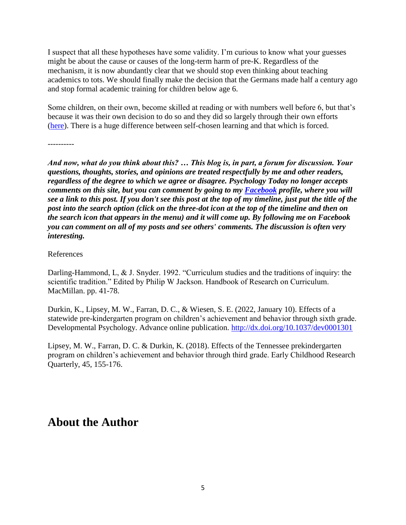I suspect that all these hypotheses have some validity. I'm curious to know what your guesses might be about the cause or causes of the long-term harm of pre-K. Regardless of the mechanism, it is now abundantly clear that we should stop even thinking about teaching academics to tots. We should finally make the decision that the Germans made half a century ago and stop formal academic training for children below age 6.

Some children, on their own, become skilled at reading or with numbers well before 6, but that's because it was their own decision to do so and they did so largely through their own efforts [\(here\)](https://www.psychologytoday.com/us/blog/freedom-learn/201311/the-reading-wars-why-natural-learning-fails-in-classrooms). There is a huge difference between self-chosen learning and that which is forced.

----------

*And now, what do you think about this? … This blog is, in part, a forum for discussion. Your questions, thoughts, stories, and opinions are treated respectfully by me and other readers, regardless of the degree to which we agree or disagree. Psychology Today no longer accepts comments on this site, but you can comment by going to my [Facebook](https://www.facebook.com/peter.gray.3572) profile, where you will see a link to this post. If you don't see this post at the top of my timeline, just put the title of the post into the search option (click on the three-dot icon at the top of the timeline and then on the search icon that appears in the menu) and it will come up. By following me on Facebook you can comment on all of my posts and see others' comments. The discussion is often very interesting.*

#### References

Darling-Hammond, L, & J. Snyder. 1992. "Curriculum studies and the traditions of inquiry: the scientific tradition." Edited by Philip W Jackson. Handbook of Research on Curriculum. MacMillan. pp. 41-78.

Durkin, K., Lipsey, M. W., Farran, D. C., & Wiesen, S. E. (2022, January 10). Effects of a statewide pre-kindergarten program on children's achievement and behavior through sixth grade. Developmental Psychology. Advance online publication.<http://dx.doi.org/10.1037/dev0001301>

Lipsey, M. W., Farran, D. C. & Durkin, K. (2018). Effects of the Tennessee prekindergarten program on children's achievement and behavior through third grade. Early Childhood Research Quarterly, 45, 155-176.

# **About the Author**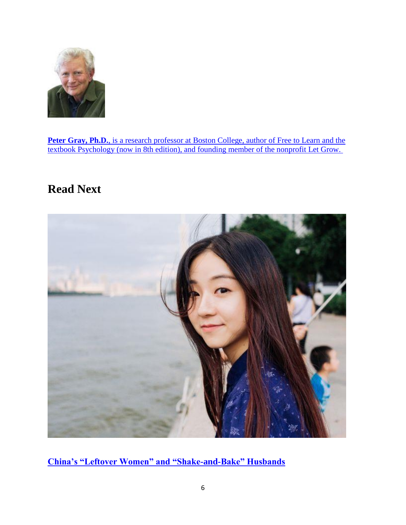

Peter Gray, Ph.D., [is a research professor at Boston College, author of](https://www.psychologytoday.com/us/contributors/peter-gray-phd) Free to Learn and the textbook Psychology [\(now in 8th edition\), and founding member of the nonprofit Let Grow.](https://www.psychologytoday.com/us/contributors/peter-gray-phd)

# **Read Next**



**[China's "Leftover Women" and "Shake-and-Bake" Husbands](https://www.psychologytoday.com/us/blog/living-single/201804/china-s-leftover-women-and-shake-and-bake-husbands)**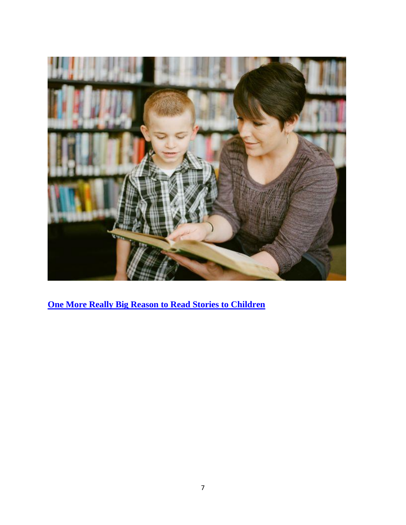

**[One More Really Big Reason to Read Stories to Children](https://www.psychologytoday.com/us/blog/freedom-learn/201410/one-more-really-big-reason-read-stories-children)**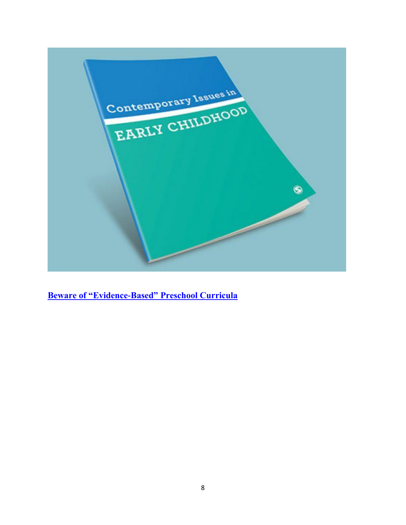

**[Beware of "Evidence-Based" Preschool Curricula](https://www.psychologytoday.com/us/blog/freedom-learn/202112/beware-evidence-based-preschool-curricula)**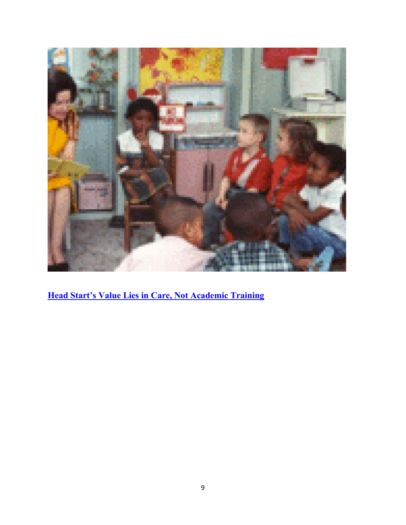

**[Head Start's Value Lies in Care, Not Academic Training](https://www.psychologytoday.com/us/blog/freedom-learn/202002/head-start-s-value-lies-in-care-not-academic-training)**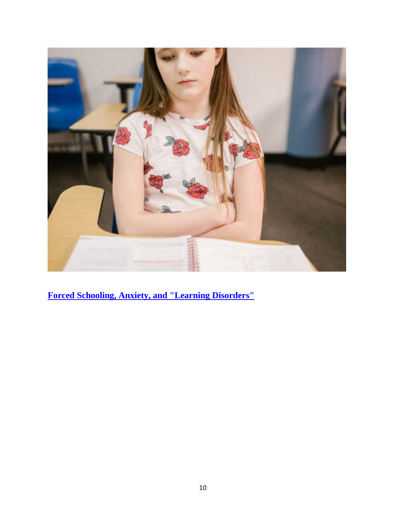

**[Forced Schooling, Anxiety, and "Learning Disorders"](https://www.psychologytoday.com/us/blog/freedom-learn/202103/forced-schooling-anxiety-and-learning-disorders)**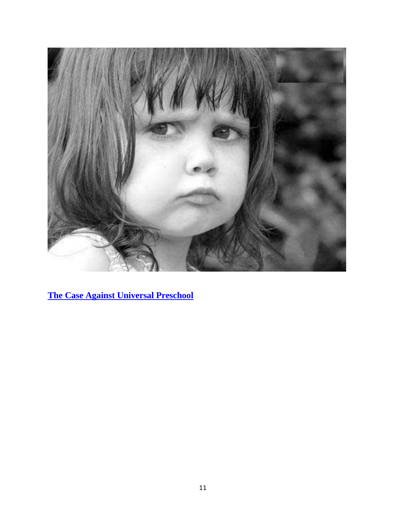

**[The Case Against Universal Preschool](https://www.psychologytoday.com/us/blog/freedom-learn/202105/the-case-against-universal-preschool)**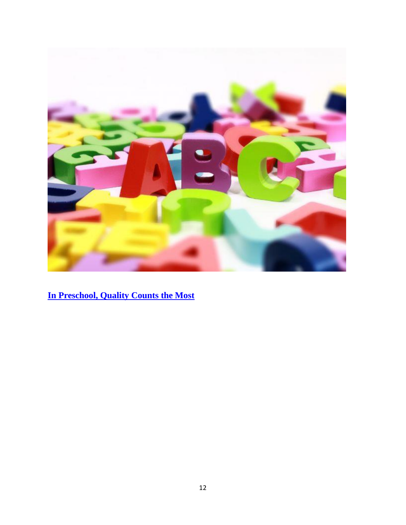

**[In Preschool, Quality Counts the Most](https://www.psychologytoday.com/us/blog/evidence-based-living/201703/in-preschool-quality-counts-the-most)**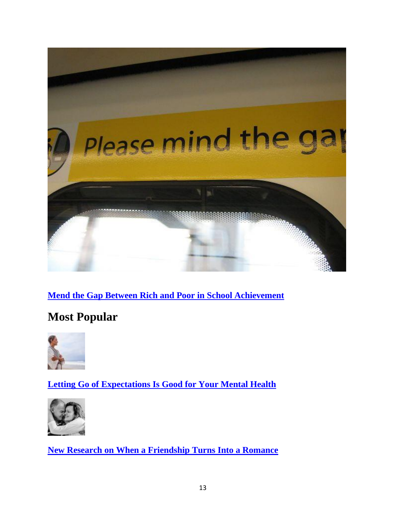

# **[Mend the Gap Between Rich and Poor in School Achievement](https://www.psychologytoday.com/us/blog/freedom-learn/201709/mend-the-gap-between-rich-and-poor-in-school-achievement)**

# **Most Popular**



**[Letting Go of Expectations Is Good for Your Mental Health](https://www.psychologytoday.com/us/blog/the-color-wellness/202202/letting-go-expectations-is-good-your-mental-health)**



**[New Research on When a Friendship Turns Into a Romance](https://www.psychologytoday.com/us/blog/finding-new-home/202202/new-research-when-friendship-turns-romance)**